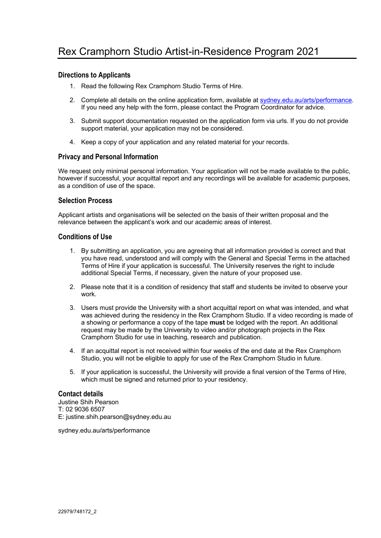# **Directions to Applicants**

- 1. Read the following Rex Cramphorn Studio Terms of Hire.
- 2. Complete all details on the online application form, available at sydney.edu.au/arts/performance. If you need any help with the form, please contact the Program Coordinator for advice.
- 3. Submit support documentation requested on the application form via urls. If you do not provide support material, your application may not be considered.
- 4. Keep a copy of your application and any related material for your records.

# **Privacy and Personal Information**

We request only minimal personal information. Your application will not be made available to the public, however if successful, your acquittal report and any recordings will be available for academic purposes, as a condition of use of the space.

# **Selection Process**

Applicant artists and organisations will be selected on the basis of their written proposal and the relevance between the applicant's work and our academic areas of interest.

# **Conditions of Use**

- 1. By submitting an application, you are agreeing that all information provided is correct and that you have read, understood and will comply with the General and Special Terms in the attached Terms of Hire if your application is successful. The University reserves the right to include additional Special Terms, if necessary, given the nature of your proposed use.
- 2. Please note that it is a condition of residency that staff and students be invited to observe your work.
- 3. Users must provide the University with a short acquittal report on what was intended, and what was achieved during the residency in the Rex Cramphorn Studio. If a video recording is made of a showing or performance a copy of the tape **must** be lodged with the report. An additional request may be made by the University to video and/or photograph projects in the Rex Cramphorn Studio for use in teaching, research and publication.
- 4. If an acquittal report is not received within four weeks of the end date at the Rex Cramphorn Studio, you will not be eligible to apply for use of the Rex Cramphorn Studio in future.
- 5. If your application is successful, the University will provide a final version of the Terms of Hire, which must be signed and returned prior to your residency.

## **Contact details**

- Justine Shih Pearson
- T: 02 9036 6507
- E: justine.shih.pearson@sydney.edu.au

sydney.edu.au/arts/performance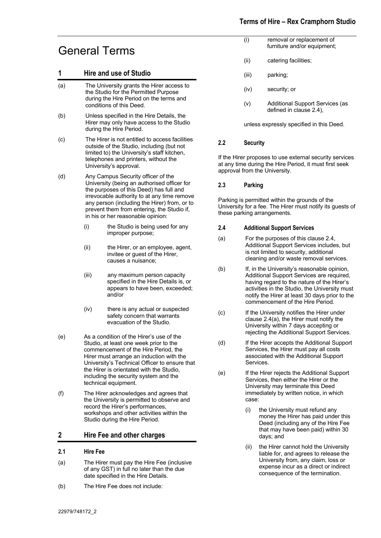# General Terms

# **1 Hire and use of Studio**

- (a) The University grants the Hirer access to the Studio for the Permitted Purpose during the Hire Period on the terms and conditions of this Deed.
- (b) Unless specified in the Hire Details, the Hirer may only have access to the Studio during the Hire Period.
- (c) The Hirer is not entitled to access facilities outside of the Studio, including (but not limited to) the University's staff kitchen, telephones and printers, without the University's approval.
- (d) Any Campus Security officer of the University (being an authorised officer for the purposes of this Deed) has full and irrevocable authority to at any time remove any person (including the Hirer) from, or to prevent them from entering, the Studio if, in his or her reasonable opinion:
	- (i) the Studio is being used for any improper purpose;
	- (ii) the Hirer, or an employee, agent, invitee or guest of the Hirer, causes a nuisance;
	- (iii) any maximum person capacity specified in the Hire Details is, or appears to have been, exceeded; and/or
	- (iv) there is any actual or suspected safety concern that warrants evacuation of the Studio.
- (e) As a condition of the Hirer's use of the Studio, at least one week prior to the commencement of the Hire Period, the Hirer must arrange an induction with the University's Technical Officer to ensure that the Hirer is orientated with the Studio, including the security system and the technical equipment.
- (f) The Hirer acknowledges and agrees that the University is permitted to observe and record the Hirer's performances, workshops and other activities within the Studio during the Hire Period.

# **2 Hire Fee and other charges**

## **2.1 Hire Fee**

- (a) The Hirer must pay the Hire Fee (inclusive of any GST) in full no later than the due date specified in the Hire Details.
- (b) The Hire Fee does not include:
- (i) removal or replacement of furniture and/or equipment;
- (ii) catering facilities;
- (iii) parking;
- (iv) security; or
- (v) Additional Support Services (as defined in clause 2.4),

unless expressly specified in this Deed.

#### **2.2 Security**

If the Hirer proposes to use external security services at any time during the Hire Period, it must first seek approval from the University.

#### **2.3 Parking**

Parking is permitted within the grounds of the University for a fee. The Hirer must notify its guests of these parking arrangements.

#### **2.4 Additional Support Services**

- (a) For the purposes of this clause 2.4, Additional Support Services includes, but is not limited to security, additional cleaning and/or waste removal services.
- (b) If, in the University's reasonable opinion, Additional Support Services are required, having regard to the nature of the Hirer's activities in the Studio, the University must notify the Hirer at least 30 days prior to the commencement of the Hire Period.
- (c) If the University notifies the Hirer under clause 2.4(a), the Hirer must notify the University within 7 days accepting or rejecting the Additional Support Services.
- (d) If the Hirer accepts the Additional Support Services, the Hirer must pay all costs associated with the Additional Support Services.
- (e) If the Hirer rejects the Additional Support Services, then either the Hirer or the University may terminate this Deed immediately by written notice, in which case:
	- (i) the University must refund any money the Hirer has paid under this Deed (including any of the Hire Fee that may have been paid) within 30 days; and
	- (ii) the Hirer cannot hold the University liable for, and agrees to release the University from, any claim, loss or expense incur as a direct or indirect consequence of the termination.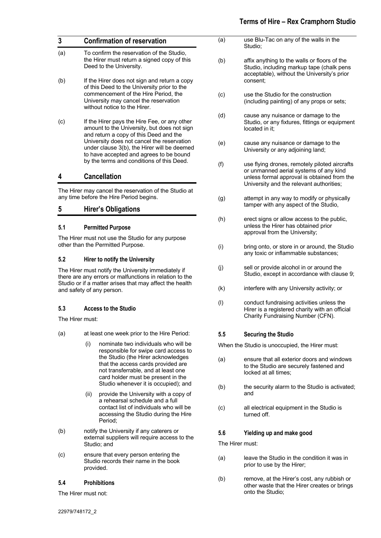# **Terms of Hire – Rex Cramphorn Studio**

| 3   | <b>Confirmation of reservation</b>                                                                                                                                                                                                                                                                                         |
|-----|----------------------------------------------------------------------------------------------------------------------------------------------------------------------------------------------------------------------------------------------------------------------------------------------------------------------------|
| (a) | To confirm the reservation of the Studio,<br>the Hirer must return a signed copy of this<br>Deed to the University.                                                                                                                                                                                                        |
| (b) | If the Hirer does not sign and return a copy<br>of this Deed to the University prior to the<br>commencement of the Hire Period, the<br>University may cancel the reservation<br>without notice to the Hirer.                                                                                                               |
| (c) | If the Hirer pays the Hire Fee, or any other<br>amount to the University, but does not sign<br>and return a copy of this Deed and the<br>University does not cancel the reservation<br>under clause 3(b), the Hirer will be deemed<br>to have accepted and agrees to be bound<br>by the terms and conditions of this Deed. |

# **4 Cancellation**

The Hirer may cancel the reservation of the Studio at any time before the Hire Period begins.

# **5 Hirer's Obligations**

#### **5.1 Permitted Purpose**

The Hirer must not use the Studio for any purpose other than the Permitted Purpose.

#### **5.2 Hirer to notify the University**

The Hirer must notify the University immediately if there are any errors or malfunctions in relation to the Studio or if a matter arises that may affect the health and safety of any person.

## **5.3 Access to the Studio**

The Hirer must:

- (a) at least one week prior to the Hire Period:
	- (i) nominate two individuals who will be responsible for swipe card access to the Studio (the Hirer acknowledges that the access cards provided are not transferrable, and at least one card holder must be present in the Studio whenever it is occupied); and
	- (ii) provide the University with a copy of a rehearsal schedule and a full contact list of individuals who will be accessing the Studio during the Hire Period;
- (b) notify the University if any caterers or external suppliers will require access to the Studio; and
- (c) ensure that every person entering the Studio records their name in the book provided.

#### **5.4 Prohibitions**

The Hirer must not:

| (a)                                            | use Blu-Tac on any of the walls in the<br>Studio;                                                                                                                                  |
|------------------------------------------------|------------------------------------------------------------------------------------------------------------------------------------------------------------------------------------|
| (b)                                            | affix anything to the walls or floors of the<br>Studio, including markup tape (chalk pens<br>acceptable), without the University's prior<br>consent;                               |
| (c)                                            | use the Studio for the construction<br>(including painting) of any props or sets;                                                                                                  |
| (d)                                            | cause any nuisance or damage to the<br>Studio, or any fixtures, fittings or equipment<br>located in it;                                                                            |
| (e)                                            | cause any nuisance or damage to the<br>University or any adjoining land;                                                                                                           |
| (f)                                            | use flying drones, remotely piloted aircrafts<br>or unmanned aerial systems of any kind<br>unless formal approval is obtained from the<br>University and the relevant authorities; |
| (g)                                            | attempt in any way to modify or physically<br>tamper with any aspect of the Studio,                                                                                                |
| (h)                                            | erect signs or allow access to the public,<br>unless the Hirer has obtained prior<br>approval from the University;                                                                 |
| (i)                                            | bring onto, or store in or around, the Studio<br>any toxic or inflammable substances;                                                                                              |
| (j)                                            | sell or provide alcohol in or around the<br>Studio, except in accordance with clause 9;                                                                                            |
| (k)                                            | interfere with any University activity; or                                                                                                                                         |
| (1)                                            | conduct fundraising activities unless the<br>Hirer is a registered charity with an official<br>Charity Fundraising Number (CFN).                                                   |
| $5.5\,$                                        | <b>Securing the Studio</b>                                                                                                                                                         |
| When the Studio is unoccupied, the Hirer must: |                                                                                                                                                                                    |
| (a)                                            | ensure that all exterior doors and windows<br>to the Studio are securely fastened and<br>locked at all times;                                                                      |
| (b)                                            | the security alarm to the Studio is activated;<br>and                                                                                                                              |
| (c)                                            | all electrical equipment in the Studio is<br>turned off.                                                                                                                           |
| 5.6                                            | Yielding up and make good                                                                                                                                                          |

The Hirer must:

- (a) leave the Studio in the condition it was in prior to use by the Hirer;
- (b) remove, at the Hirer's cost, any rubbish or other waste that the Hirer creates or brings onto the Studio;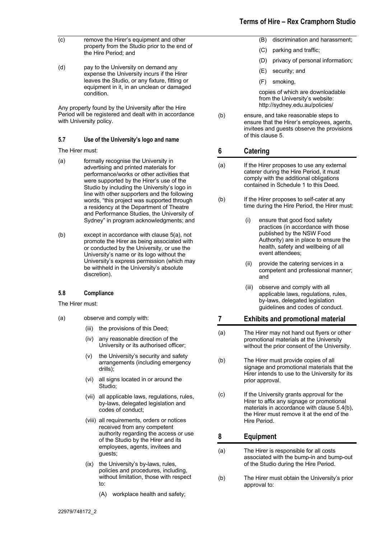# **Terms of Hire – Rex Cramphorn Studio**

- (c) remove the Hirer's equipment and other property from the Studio prior to the end of the Hire Period; and
- (d) pay to the University on demand any expense the University incurs if the Hirer leaves the Studio, or any fixture, fitting or equipment in it, in an unclean or damaged condition.

Any property found by the University after the Hire Period will be registered and dealt with in accordance with University policy.

#### **5.7 Use of the University's logo and name**

The Hirer must:

- (a) formally recognise the University in advertising and printed materials for performance/works or other activities that were supported by the Hirer's use of the Studio by including the University's logo in line with other supporters and the following words, "this project was supported through a residency at the Department of Theatre and Performance Studies, the University of Sydney" in program acknowledgments; and
- (b) except in accordance with clause 5(a), not promote the Hirer as being associated with or conducted by the University, or use the University's name or its logo without the University's express permission (which may be withheld in the University's absolute discretion).

#### **5.8 Compliance**

The Hirer must:

- (a) observe and comply with:
	- (iii) the provisions of this Deed;
	- (iv) any reasonable direction of the University or its authorised officer;
	- (v) the University's security and safety arrangements (including emergency drills);
	- (vi) all signs located in or around the Studio;
	- (vii) all applicable laws, regulations, rules, by-laws, delegated legislation and codes of conduct;
	- (viii) all requirements, orders or notices received from any competent authority regarding the access or use of the Studio by the Hirer and its employees, agents, invitees and guests;
	- (ix) the University's by-laws, rules, policies and procedures, including, without limitation, those with respect to:
		- (A) workplace health and safety;
- (B) discrimination and harassment;
- (C) parking and traffic;
- (D) privacy of personal information;
- (E) security; and
- (F) smoking,

copies of which are downloadable from the University's website: http://sydney.edu.au/policies/

(b) ensure, and take reasonable steps to ensure that the Hirer's employees, agents, invitees and guests observe the provisions of this clause 5.

# **6 Catering**

- (a) If the Hirer proposes to use any external caterer during the Hire Period, it must comply with the additional obligations contained in Schedule 1 to this Deed.
- (b) If the Hirer proposes to self-cater at any time during the Hire Period, the Hirer must:
	- (i) ensure that good food safety practices (in accordance with those published by the NSW Food Authority) are in place to ensure the health, safety and wellbeing of all event attendees;
	- provide the catering services in a competent and professional manner; and
	- (iii) observe and comply with all applicable laws, regulations, rules, by-laws, delegated legislation guidelines and codes of conduct.

## **7 Exhibits and promotional material**

- (a) The Hirer may not hand out flyers or other promotional materials at the University without the prior consent of the University.
- (b) The Hirer must provide copies of all signage and promotional materials that the Hirer intends to use to the University for its prior approval.
- (c) If the University grants approval for the Hirer to affix any signage or promotional materials in accordance with clause 5.4(b), the Hirer must remove it at the end of the Hire Period.

# **8 Equipment**

- (a) The Hirer is responsible for all costs associated with the bump-in and bump-out of the Studio during the Hire Period.
- (b) The Hirer must obtain the University's prior approval to: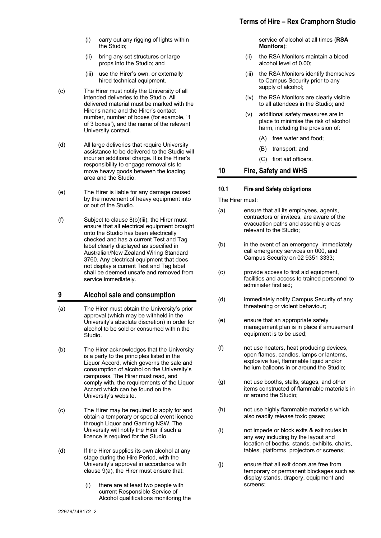- (i) carry out any rigging of lights within the Studio;
- (ii) bring any set structures or large props into the Studio; and
- (iii) use the Hirer's own, or externally hired technical equipment.
- (c) The Hirer must notify the University of all intended deliveries to the Studio. All delivered material must be marked with the Hirer's name and the Hirer's contact number, number of boxes (for example, '1 of 3 boxes'), and the name of the relevant University contact.
- (d) All large deliveries that require University assistance to be delivered to the Studio will incur an additional charge. It is the Hirer's responsibility to engage removalists to move heavy goods between the loading area and the Studio.
- (e) The Hirer is liable for any damage caused by the movement of heavy equipment into or out of the Studio.
- (f) Subject to clause 8(b)(iii), the Hirer must ensure that all electrical equipment brought onto the Studio has been electrically checked and has a current Test and Tag label clearly displayed as specified in Australian/New Zealand Wiring Standard 3760. Any electrical equipment that does not display a current Test and Tag label shall be deemed unsafe and removed from service immediately.

## **9 Alcohol sale and consumption**

- (a) The Hirer must obtain the University's prior approval (which may be withheld in the University's absolute discretion) in order for alcohol to be sold or consumed within the Studio.
- (b) The Hirer acknowledges that the University is a party to the principles listed in the Liquor Accord, which governs the sale and consumption of alcohol on the University's campuses. The Hirer must read, and comply with, the requirements of the Liquor Accord which can be found on the University's website.
- (c) The Hirer may be required to apply for and obtain a temporary or special event licence through Liquor and Gaming NSW. The University will notify the Hirer if such a licence is required for the Studio.
- (d) If the Hirer supplies its own alcohol at any stage during the Hire Period, with the University's approval in accordance with clause 9(a), the Hirer must ensure that:
	- (i) there are at least two people with current Responsible Service of Alcohol qualifications monitoring the

service of alcohol at all times (**RSA Monitors**);

- (ii) the RSA Monitors maintain a blood alcohol level of 0.00;
- (iii) the RSA Monitors identify themselves to Campus Security prior to any supply of alcohol;
- (iv) the RSA Monitors are clearly visible to all attendees in the Studio; and
- (v) additional safety measures are in place to minimise the risk of alcohol harm, including the provision of:
	- (A) free water and food;
	- (B) transport; and
	- (C) first aid officers.

## **10 Fire, Safety and WHS**

#### **10.1 Fire and Safety obligations**

The Hirer must:

- (a) ensure that all its employees, agents, contractors or invitees, are aware of the evacuation paths and assembly areas relevant to the Studio:
- (b) in the event of an emergency, immediately call emergency services on 000, and Campus Security on 02 9351 3333;
- (c) provide access to first aid equipment, facilities and access to trained personnel to administer first aid;
- (d) immediately notify Campus Security of any threatening or violent behaviour;
- (e) ensure that an appropriate safety management plan is in place if amusement equipment is to be used;
- (f) not use heaters, heat producing devices, open flames, candles, lamps or lanterns, explosive fuel, flammable liquid and/or helium balloons in or around the Studio;
- (g) not use booths, stalls, stages, and other items constructed of flammable materials in or around the Studio;
- (h) not use highly flammable materials which also readily release toxic gases;
- (i) not impede or block exits & exit routes in any way including by the layout and location of booths, stands, exhibits, chairs, tables, platforms, projectors or screens;
- (j) ensure that all exit doors are free from temporary or permanent blockages such as display stands, drapery, equipment and screens;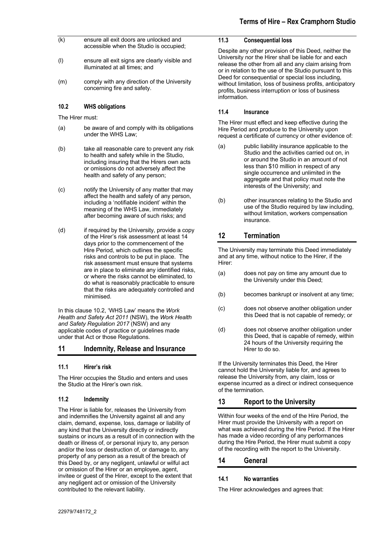- (k) ensure all exit doors are unlocked and accessible when the Studio is occupied;
- (l) ensure all exit signs are clearly visible and illuminated at all times; and
- (m) comply with any direction of the University concerning fire and safety.

### **10.2 WHS obligations**

The Hirer must:

- (a) be aware of and comply with its obligations under the WHS Law;
- (b) take all reasonable care to prevent any risk to health and safety while in the Studio, including insuring that the Hirers own acts or omissions do not adversely affect the health and safety of any person;
- (c) notify the University of any matter that may affect the health and safety of any person, including a 'notifiable incident' within the meaning of the WHS Law, immediately after becoming aware of such risks; and
- (d) if required by the University, provide a copy of the Hirer's risk assessment at least 14 days prior to the commencement of the Hire Period, which outlines the specific risks and controls to be put in place. The risk assessment must ensure that systems are in place to eliminate any identified risks, or where the risks cannot be eliminated, to do what is reasonably practicable to ensure that the risks are adequately controlled and minimised.

In this clause 10.2, 'WHS Law' means the *Work Health and Safety Act 2011* (NSW), the *Work Health and Safety Regulation 2017* (NSW) and any applicable codes of practice or guidelines made under that Act or those Regulations.

## **11 Indemnity, Release and Insurance**

#### **11.1 Hirer's risk**

The Hirer occupies the Studio and enters and uses the Studio at the Hirer's own risk.

#### **11.2 Indemnity**

The Hirer is liable for, releases the University from and indemnifies the University against all and any claim, demand, expense, loss, damage or liability of any kind that the University directly or indirectly sustains or incurs as a result of in connection with the death or illness of, or personal injury to, any person and/or the loss or destruction of, or damage to, any property of any person as a result of the breach of this Deed by, or any negligent, unlawful or wilful act or omission of the Hirer or an employee, agent, invitee or guest of the Hirer, except to the extent that any negligent act or omission of the University contributed to the relevant liability.

#### **11.3 Consequential loss**

Despite any other provision of this Deed, neither the University nor the Hirer shall be liable for and each release the other from all and any claim arising from or in relation to the use of the Studio pursuant to this Deed for consequential or special loss including, without limitation, loss of business profits, anticipatory profits, business interruption or loss of business information.

### **11.4 Insurance**

The Hirer must effect and keep effective during the Hire Period and produce to the University upon request a certificate of currency or other evidence of:

- (a) public liability insurance applicable to the Studio and the activities carried out on, in or around the Studio in an amount of not less than \$10 million in respect of any single occurrence and unlimited in the aggregate and that policy must note the interests of the University; and
- (b) other insurances relating to the Studio and use of the Studio required by law including, without limitation, workers compensation insurance.

# **12 Termination**

The University may terminate this Deed immediately and at any time, without notice to the Hirer, if the Hirer:

- (a) does not pay on time any amount due to the University under this Deed;
- (b) becomes bankrupt or insolvent at any time;
- (c) does not observe another obligation under this Deed that is not capable of remedy; or
- (d) does not observe another obligation under this Deed, that is capable of remedy, within 24 hours of the University requiring the Hirer to do so.

If the University terminates this Deed, the Hirer cannot hold the University liable for, and agrees to release the University from, any claim, loss or expense incurred as a direct or indirect consequence of the termination.

# **13 Report to the University**

Within four weeks of the end of the Hire Period, the Hirer must provide the University with a report on what was achieved during the Hire Period. If the Hirer has made a video recording of any performances during the Hire Period, the Hirer must submit a copy of the recording with the report to the University.

## **14 General**

#### **14.1 No warranties**

The Hirer acknowledges and agrees that: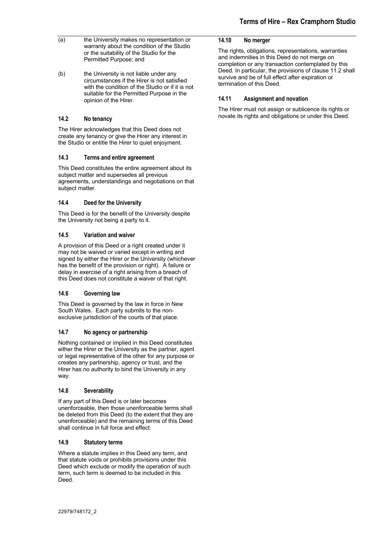- $(a)$  the University makes no representation or warranty about the condition of the Studio or the suitability of the Studio for the Permitted Purpose; and
- (b) the University is not liable under any circumstances if the Hirer is not satisfied with the condition of the Studio or if it is not suitable for the Permitted Purpose in the opinion of the Hirer.

#### **14.2 No tenancy**

The Hirer acknowledges that this Deed does not create any tenancy or give the Hirer any interest in the Studio or entitle the Hirer to quiet enjoyment.

#### **14.3 Terms and entire agreement**

This Deed constitutes the entire agreement about its subject matter and supersedes all previous agreements, understandings and negotiations on that subject matter.

#### **14.4 Deed for the University**

This Deed is for the benefit of the University despite the University not being a party to it.

#### **14.5 Variation and waiver**

A provision of this Deed or a right created under it may not be waived or varied except in writing and signed by either the Hirer or the University (whichever has the benefit of the provision or right). A failure or delay in exercise of a right arising from a breach of this Deed does not constitute a waiver of that right.

#### **14.6 Governing law**

This Deed is governed by the law in force in New South Wales. Each party submits to the nonexclusive jurisdiction of the courts of that place.

## **14.7 No agency or partnership**

Nothing contained or implied in this Deed constitutes either the Hirer or the University as the partner, agent or legal representative of the other for any purpose or creates any partnership, agency or trust, and the Hirer has no authority to bind the University in any way.

## **14.8 Severability**

If any part of this Deed is or later becomes unenforceable, then those unenforceable terms shall be deleted from this Deed (to the extent that they are unenforceable) and the remaining terms of this Deed shall continue in full force and effect.

#### **14.9 Statutory terms**

Where a statute implies in this Deed any term, and that statute voids or prohibits provisions under this Deed which exclude or modify the operation of such term, such term is deemed to be included in this Deed.

#### **14.10 No merger**

The rights, obligations, representations, warranties and indemnities in this Deed do not merge on completion or any transaction contemplated by this Deed. In particular, the provisions of clause 11.2 shall survive and be of full effect after expiration or termination of this Deed.

#### **14.11 Assignment and novation**

The Hirer must not assign or sublicence its rights or novate its rights and obligations or under this Deed.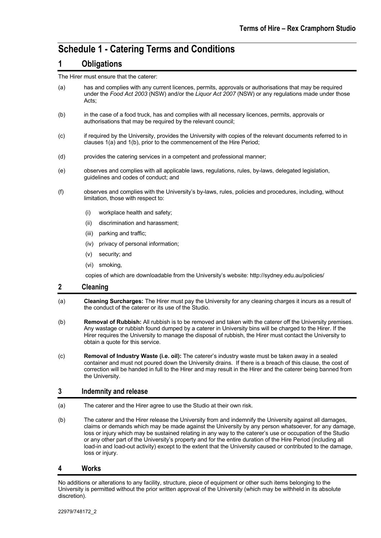# **Schedule 1 - Catering Terms and Conditions**

# **1 Obligations**

The Hirer must ensure that the caterer:

- (a) has and complies with any current licences, permits, approvals or authorisations that may be required under the *Food Act 2003* (NSW) and/or the *Liquor Act 2007* (NSW) or any regulations made under those Acts;
- (b) in the case of a food truck, has and complies with all necessary licences, permits, approvals or authorisations that may be required by the relevant council;
- (c) if required by the University, provides the University with copies of the relevant documents referred to in clauses 1(a) and 1(b), prior to the commencement of the Hire Period;
- (d) provides the catering services in a competent and professional manner;
- (e) observes and complies with all applicable laws, regulations, rules, by-laws, delegated legislation, guidelines and codes of conduct; and
- (f) observes and complies with the University's by-laws, rules, policies and procedures, including, without limitation, those with respect to:
	- (i) workplace health and safety;
	- (ii) discrimination and harassment;
	- (iii) parking and traffic;
	- (iv) privacy of personal information;
	- (v) security; and
	- (vi) smoking,

copies of which are downloadable from the University's website: http://sydney.edu.au/policies/

## **2 Cleaning**

- (a) **Cleaning Surcharges:** The Hirer must pay the University for any cleaning charges it incurs as a result of the conduct of the caterer or its use of the Studio.
- (b) **Removal of Rubbish:** All rubbish is to be removed and taken with the caterer off the University premises. Any wastage or rubbish found dumped by a caterer in University bins will be charged to the Hirer. If the Hirer requires the University to manage the disposal of rubbish, the Hirer must contact the University to obtain a quote for this service.
- (c) **Removal of Industry Waste (i.e. oil):** The caterer's industry waste must be taken away in a sealed container and must not poured down the University drains. If there is a breach of this clause, the cost of correction will be handed in full to the Hirer and may result in the Hirer and the caterer being banned from the University.

## **3 Indemnity and release**

- (a) The caterer and the Hirer agree to use the Studio at their own risk.
- (b) The caterer and the Hirer release the University from and indemnify the University against all damages, claims or demands which may be made against the University by any person whatsoever, for any damage, loss or injury which may be sustained relating in any way to the caterer's use or occupation of the Studio or any other part of the University's property and for the entire duration of the Hire Period (including all load-in and load-out activity) except to the extent that the University caused or contributed to the damage, loss or injury.

#### **4 Works**

No additions or alterations to any facility, structure, piece of equipment or other such items belonging to the University is permitted without the prior written approval of the University (which may be withheld in its absolute discretion).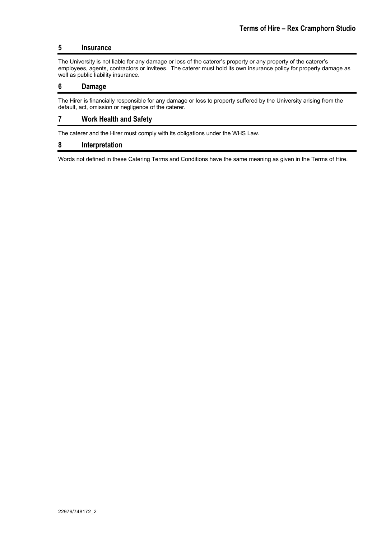# **5 Insurance**

The University is not liable for any damage or loss of the caterer's property or any property of the caterer's employees, agents, contractors or invitees. The caterer must hold its own insurance policy for property damage as well as public liability insurance.

### **6 Damage**

The Hirer is financially responsible for any damage or loss to property suffered by the University arising from the default, act, omission or negligence of the caterer.

## **7 Work Health and Safety**

The caterer and the Hirer must comply with its obligations under the WHS Law.

#### **8 Interpretation**

Words not defined in these Catering Terms and Conditions have the same meaning as given in the Terms of Hire.